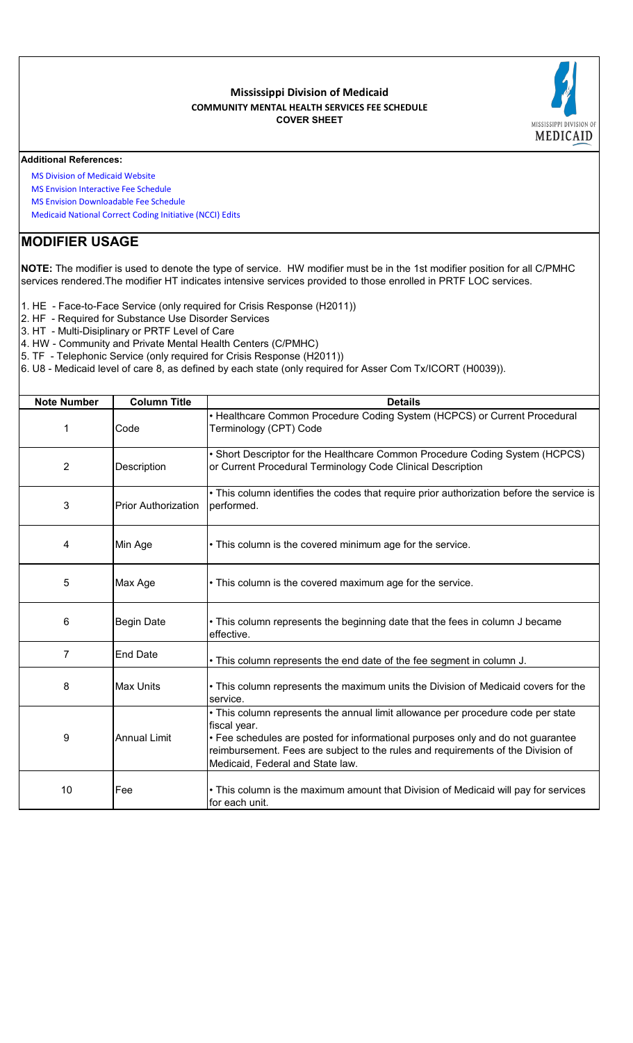#### **Mississippi Division of Medicaid COMMUNITY MENTAL HEALTH SERVICES FEE SCHEDULE COVER SHEET**



#### **Additional References:**

 [MS Division of Medica](https://medicaid.ms.gov/)id Website

- [MS Envision Interactiv](https://www.ms-medicaid.com/msenvision/feeScheduleInquiry.do)e Fee Schedule
- [MS Envision Downloa](https://www.ms-medicaid.com/msenvision/AMA_ADA_licenseAgreement.do?strUrl=feeScheduleInquiry)dable Fee Schedule
- [Medicaid National Cor](https://www.medicaid.gov/medicaid/program-integrity/national-correct-coding-initiative/medicaid-ncci-edit-files/index.html)rect Coding Initiative (NCCI) Edits

## **MODIFIER USAGE**

**NOTE:** The modifier is used to denote the type of service. HW modifier must be in the 1st modifier position for all C/PMHC services rendered.The modifier HT indicates intensive services provided to those enrolled in PRTF LOC services.

- 1. HE Face-to-Face Service (only required for Crisis Response (H2011))
- 2. HF Required for Substance Use Disorder Services
- 3. HT Multi-Disiplinary or PRTF Level of Care
- 4. HW Community and Private Mental Health Centers (C/PMHC)
- 5. TF Telephonic Service (only required for Crisis Response (H2011))
- 6. U8 Medicaid level of care 8, as defined by each state (only required for Asser Com Tx/ICORT (H0039)).

| <b>Note Number</b> | <b>Column Title</b>        | <b>Details</b>                                                                                                                                                                                                                                                                                              |
|--------------------|----------------------------|-------------------------------------------------------------------------------------------------------------------------------------------------------------------------------------------------------------------------------------------------------------------------------------------------------------|
| 1                  | Code                       | • Healthcare Common Procedure Coding System (HCPCS) or Current Procedural<br>Terminology (CPT) Code                                                                                                                                                                                                         |
| $\overline{2}$     | Description                | • Short Descriptor for the Healthcare Common Procedure Coding System (HCPCS)<br>or Current Procedural Terminology Code Clinical Description                                                                                                                                                                 |
| 3                  | <b>Prior Authorization</b> | • This column identifies the codes that require prior authorization before the service is<br>performed.                                                                                                                                                                                                     |
| 4                  | Min Age                    | • This column is the covered minimum age for the service.                                                                                                                                                                                                                                                   |
| 5                  | Max Age                    | • This column is the covered maximum age for the service.                                                                                                                                                                                                                                                   |
| 6                  | <b>Begin Date</b>          | • This column represents the beginning date that the fees in column J became<br>effective.                                                                                                                                                                                                                  |
| $\overline{7}$     | <b>End Date</b>            | . This column represents the end date of the fee segment in column J.                                                                                                                                                                                                                                       |
| 8                  | <b>Max Units</b>           | • This column represents the maximum units the Division of Medicaid covers for the<br>service.                                                                                                                                                                                                              |
| 9                  | <b>Annual Limit</b>        | • This column represents the annual limit allowance per procedure code per state<br>fiscal year.<br>• Fee schedules are posted for informational purposes only and do not guarantee<br>reimbursement. Fees are subject to the rules and requirements of the Division of<br>Medicaid, Federal and State law. |
| 10                 | Fee                        | • This column is the maximum amount that Division of Medicaid will pay for services<br>for each unit.                                                                                                                                                                                                       |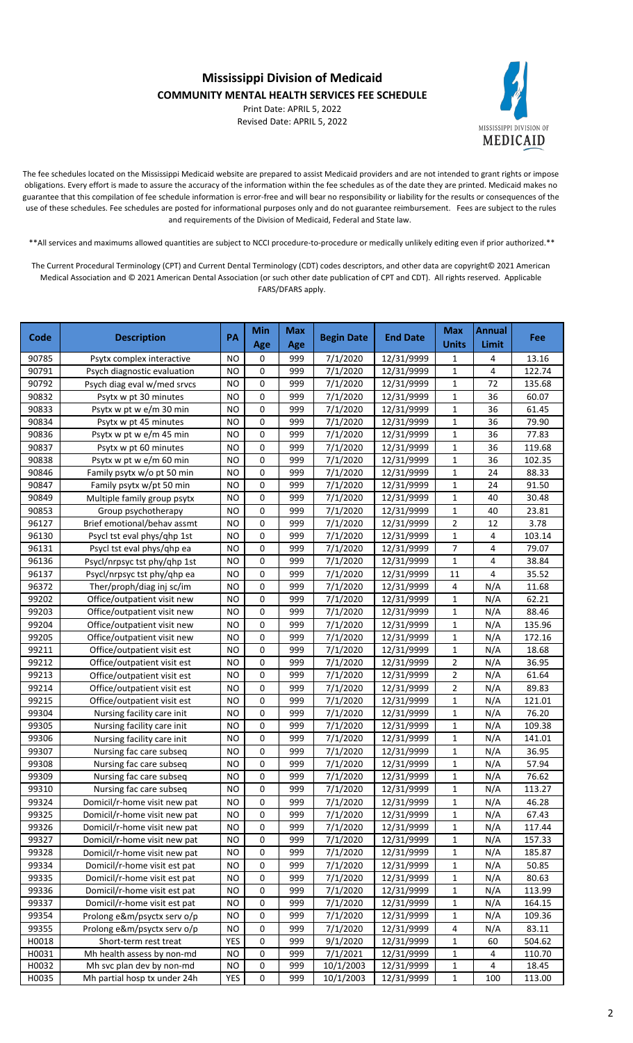**Mississippi Division of Medicaid**

## **COMMUNITY MENTAL HEALTH SERVICES FEE SCHEDULE**

Print Date: APRIL 5, 2022 Revised Date: APRIL 5, 2022



The fee schedules located on the Mississippi Medicaid website are prepared to assist Medicaid providers and are not intended to grant rights or impose obligations. Every effort is made to assure the accuracy of the information within the fee schedules as of the date they are printed. Medicaid makes no guarantee that this compilation of fee schedule information is error-free and will bear no responsibility or liability for the results or consequences of the use of these schedules. Fee schedules are posted for informational purposes only and do not guarantee reimbursement. Fees are subject to the rules and requirements of the Division of Medicaid, Federal and State law.

\*\*All services and maximums allowed quantities are subject to NCCI procedure-to-procedure or medically unlikely editing even if prior authorized.\*\*

The Current Procedural Terminology (CPT) and Current Dental Terminology (CDT) codes descriptors, and other data are copyright© 2021 American Medical Association and © 2021 American Dental Association (or such other date publication of CPT and CDT). All rights reserved. Applicable FARS/DFARS apply.

| Code           | <b>Description</b>                                       | PA              | Min         | <b>Max</b> | <b>Begin Date</b>    | <b>End Date</b>          | <b>Max</b>     | <b>Annual</b>       | <b>Fee</b>      |
|----------------|----------------------------------------------------------|-----------------|-------------|------------|----------------------|--------------------------|----------------|---------------------|-----------------|
|                |                                                          |                 | Age         | Age        |                      |                          | <b>Units</b>   | Limit               |                 |
| 90785<br>90791 | Psytx complex interactive<br>Psych diagnostic evaluation | NO<br><b>NO</b> | 0<br>0      | 999<br>999 | 7/1/2020<br>7/1/2020 | 12/31/9999<br>12/31/9999 | 1<br>1         | 4<br>$\overline{4}$ | 13.16<br>122.74 |
| 90792          | Psych diag eval w/med srvcs                              | <b>NO</b>       | 0           | 999        | 7/1/2020             | 12/31/9999               | $\mathbf{1}$   | 72                  | 135.68          |
| 90832          | Psytx w pt 30 minutes                                    | <b>NO</b>       | 0           | 999        | 7/1/2020             | 12/31/9999               | 1              | 36                  | 60.07           |
| 90833          | Psytx w pt w e/m 30 min                                  | <b>NO</b>       | 0           | 999        | 7/1/2020             | 12/31/9999               | $\mathbf{1}$   | 36                  | 61.45           |
| 90834          | Psytx w pt 45 minutes                                    | <b>NO</b>       | 0           | 999        | 7/1/2020             | 12/31/9999               | $\mathbf{1}$   | 36                  | 79.90           |
| 90836          | Psytx w pt w e/m 45 min                                  | <b>NO</b>       | 0           | 999        | 7/1/2020             | 12/31/9999               | 1              | 36                  | 77.83           |
| 90837          | Psytx w pt 60 minutes                                    | <b>NO</b>       | 0           | 999        | 7/1/2020             | 12/31/9999               | 1              | 36                  | 119.68          |
| 90838          | Psytx w pt w e/m 60 min                                  | <b>NO</b>       | $\mathbf 0$ | 999        | 7/1/2020             | 12/31/9999               | $\mathbf{1}$   | 36                  | 102.35          |
| 90846          | Family psytx w/o pt 50 min                               | <b>NO</b>       | $\pmb{0}$   | 999        | 7/1/2020             | 12/31/9999               | $\mathbf{1}$   | 24                  | 88.33           |
| 90847          | Family psytx w/pt 50 min                                 | <b>NO</b>       | $\pmb{0}$   | 999        | 7/1/2020             | 12/31/9999               | $\mathbf{1}$   | 24                  | 91.50           |
| 90849          | Multiple family group psytx                              | <b>NO</b>       | 0           | 999        | 7/1/2020             | 12/31/9999               | $\mathbf{1}$   | 40                  | 30.48           |
| 90853          | Group psychotherapy                                      | <b>NO</b>       | 0           | 999        | 7/1/2020             | 12/31/9999               | $\mathbf{1}$   | 40                  | 23.81           |
| 96127          | Brief emotional/behav assmt                              | <b>NO</b>       | 0           | 999        | 7/1/2020             | 12/31/9999               | $\overline{2}$ | 12                  | 3.78            |
| 96130          | Psycl tst eval phys/qhp 1st                              | <b>NO</b>       | $\mathbf 0$ | 999        | 7/1/2020             | 12/31/9999               | $\mathbf{1}$   | 4                   | 103.14          |
| 96131          | Psycl tst eval phys/ghp ea                               | <b>NO</b>       | $\mathbf 0$ | 999        | 7/1/2020             | 12/31/9999               | $\overline{7}$ | 4                   | 79.07           |
| 96136          | Psycl/nrpsyc tst phy/qhp 1st                             | <b>NO</b>       | 0           | 999        | 7/1/2020             | 12/31/9999               | $\mathbf{1}$   | 4                   | 38.84           |
| 96137          | Psycl/nrpsyc tst phy/qhp ea                              | <b>NO</b>       | 0           | 999        | 7/1/2020             | 12/31/9999               | 11             | 4                   | 35.52           |
| 96372          | Ther/proph/diag inj sc/im                                | <b>NO</b>       | 0           | 999        | 7/1/2020             | 12/31/9999               | 4              | N/A                 | 11.68           |
| 99202          | Office/outpatient visit new                              | <b>NO</b>       | $\mathbf 0$ | 999        | 7/1/2020             | 12/31/9999               | $\mathbf{1}$   | N/A                 | 62.21           |
| 99203          | Office/outpatient visit new                              | <b>NO</b>       | $\mathbf 0$ | 999        | 7/1/2020             | 12/31/9999               | $\mathbf 1$    | N/A                 | 88.46           |
| 99204          | Office/outpatient visit new                              | <b>NO</b>       | $\mathbf 0$ | 999        | 7/1/2020             | 12/31/9999               | $\mathbf 1$    | N/A                 | 135.96          |
| 99205          | Office/outpatient visit new                              | <b>NO</b>       | $\mathbf 0$ | 999        | 7/1/2020             | 12/31/9999               | $\mathbf 1$    | N/A                 | 172.16          |
| 99211          | Office/outpatient visit est                              | <b>NO</b>       | 0           | 999        | 7/1/2020             | 12/31/9999               | 1              | N/A                 | 18.68           |
| 99212          | Office/outpatient visit est                              | <b>NO</b>       | 0           | 999        | 7/1/2020             | 12/31/9999               | 2              | N/A                 | 36.95           |
| 99213          | Office/outpatient visit est                              | <b>NO</b>       | 0           | 999        | 7/1/2020             | 12/31/9999               | $\overline{2}$ | N/A                 | 61.64           |
| 99214          | Office/outpatient visit est                              | <b>NO</b>       | 0           | 999        | 7/1/2020             | 12/31/9999               | $\overline{2}$ | N/A                 | 89.83           |
| 99215          | Office/outpatient visit est                              | <b>NO</b>       | 0           | 999        | 7/1/2020             | 12/31/9999               | $\mathbf{1}$   | N/A                 | 121.01          |
| 99304          | Nursing facility care init                               | <b>NO</b>       | 0           | 999        | 7/1/2020             | 12/31/9999               | $\mathbf{1}$   | N/A                 | 76.20           |
| 99305          | Nursing facility care init                               | <b>NO</b>       | 0           | 999        | 7/1/2020             | 12/31/9999               | $\mathbf{1}$   | N/A                 | 109.38          |
| 99306          | Nursing facility care init                               | <b>NO</b>       | 0           | 999        | 7/1/2020             | 12/31/9999               | 1              | N/A                 | 141.01          |
| 99307          | Nursing fac care subseq                                  | <b>NO</b>       | 0           | 999        | 7/1/2020             | 12/31/9999               | 1              | N/A                 | 36.95           |
| 99308          | Nursing fac care subseq                                  | <b>NO</b>       | 0           | 999        | 7/1/2020             | 12/31/9999               | 1              | N/A                 | 57.94           |
| 99309          | Nursing fac care subseq                                  | <b>NO</b>       | 0           | 999        | 7/1/2020             | 12/31/9999               | $\mathbf 1$    | N/A                 | 76.62           |
| 99310          | Nursing fac care subseq                                  | <b>NO</b>       | 0           | 999        | 7/1/2020             | 12/31/9999               | 1              | N/A                 | 113.27          |
| 99324          | Domicil/r-home visit new pat                             | <b>NO</b>       | 0           | 999        | 7/1/2020             | 12/31/9999               | 1              | N/A                 | 46.28           |
| 99325          | Domicil/r-home visit new pat                             | <b>NO</b>       | 0           | 999        | 7/1/2020             | 12/31/9999               | 1              | N/A                 | 67.43           |
| 99326          | Domicil/r-home visit new pat                             | <b>NO</b>       | 0           | 999        | 7/1/2020             | 12/31/9999               | 1              | N/A                 | 117.44          |
| 99327          | Domicil/r-home visit new pat                             | <b>NO</b>       | 0           | 999        | 7/1/2020             | 12/31/9999               | $\mathbf{1}$   | N/A                 | 157.33          |
| 99328          | Domicil/r-home visit new pat                             | <b>NO</b>       | 0           | 999        | 7/1/2020             | 12/31/9999               | $\mathbf{1}$   | N/A                 | 185.87          |
| 99334          | Domicil/r-home visit est pat                             | <b>NO</b>       | 0           | 999        | 7/1/2020             | 12/31/9999               | $\mathbf{1}$   | N/A                 | 50.85           |
| 99335          | Domicil/r-home visit est pat                             | <b>NO</b>       | 0           | 999        | 7/1/2020             | 12/31/9999               | 1              | N/A                 | 80.63           |
| 99336          | Domicil/r-home visit est pat                             | <b>NO</b>       | 0           | 999        | 7/1/2020             | 12/31/9999               | 1              | N/A                 | 113.99          |
| 99337          | Domicil/r-home visit est pat                             | <b>NO</b>       | 0           | 999        | 7/1/2020             | 12/31/9999               | 1              | N/A                 | 164.15          |
| 99354          | Prolong e&m/psyctx serv o/p                              | <b>NO</b>       | 0           | 999        | 7/1/2020             | 12/31/9999               | 1              | N/A                 | 109.36          |
| 99355          | Prolong e&m/psyctx serv o/p                              | <b>NO</b>       | 0           | 999        | 7/1/2020             | 12/31/9999               | 4              | N/A                 | 83.11           |
| H0018          | Short-term rest treat                                    | <b>YES</b>      | 0           | 999        | 9/1/2020             | 12/31/9999               | $\mathbf{1}$   | 60                  | 504.62          |
| H0031          | Mh health assess by non-md                               | <b>NO</b>       | 0           | 999        | 7/1/2021             | 12/31/9999               | 1              | 4                   | 110.70          |
| H0032          | Mh svc plan dev by non-md                                | NO              | 0           | 999        | 10/1/2003            | 12/31/9999               | 1              | 4                   | 18.45           |
| H0035          | Mh partial hosp tx under 24h                             | YES             | 0           | 999        | 10/1/2003            | 12/31/9999               | 1              | 100                 | 113.00          |